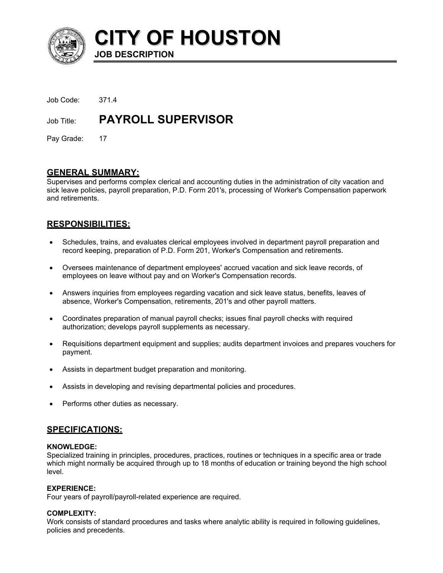

**CITY OF HOUSTON JOB DESCRIPTION** 

| Job Code: 371.4 |                           |
|-----------------|---------------------------|
| Job Title:      | <b>PAYROLL SUPERVISOR</b> |

Pay Grade: 17

## **GENERAL SUMMARY:**

Supervises and performs complex clerical and accounting duties in the administration of city vacation and sick leave policies, payroll preparation, P.D. Form 201's, processing of Worker's Compensation paperwork and retirements.

# **RESPONSIBILITIES:**

- Schedules, trains, and evaluates clerical employees involved in department payroll preparation and record keeping, preparation of P.D. Form 201, Worker's Compensation and retirements. •
- Oversees maintenance of department employees' accrued vacation and sick leave records, of employees on leave without pay and on Worker's Compensation records.
- Answers inquiries from employees regarding vacation and sick leave status, benefits, leaves of absence, Worker's Compensation, retirements, 201's and other payroll matters.
- Coordinates preparation of manual payroll checks; issues final payroll checks with required authorization; develops payroll supplements as necessary.
- Requisitions department equipment and supplies; audits department invoices and prepares vouchers for payment.
- Assists in department budget preparation and monitoring.
- Assists in developing and revising departmental policies and procedures.
- Performs other duties as necessary.

# **SPECIFICATIONS:**

#### **KNOWLEDGE:**

Specialized training in principles, procedures, practices, routines or techniques in a specific area or trade which might normally be acquired through up to 18 months of education or training beyond the high school level.

#### **EXPERIENCE:**

Four years of payroll/payroll-related experience are required.

## **COMPLEXITY:**

Work consists of standard procedures and tasks where analytic ability is required in following guidelines, policies and precedents.